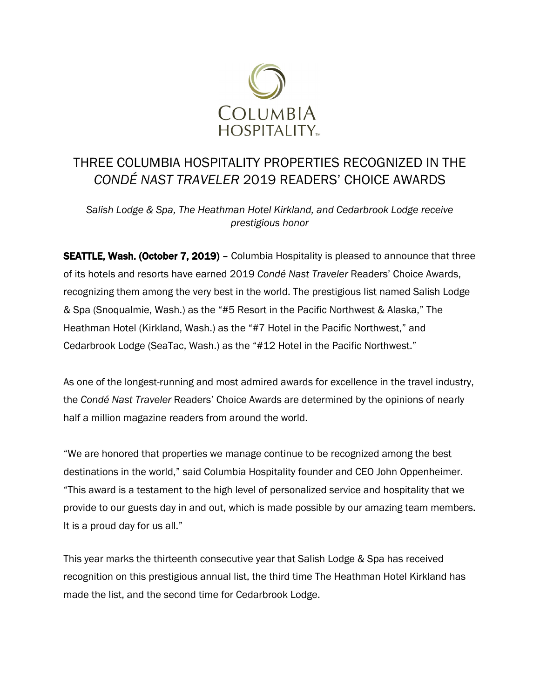

# THREE COLUMBIA HOSPITALITY PROPERTIES RECOGNIZED IN THE *CONDÉ NAST TRAVELER* 2019 READERS' CHOICE AWARDS

*Salish Lodge & Spa, The Heathman Hotel Kirkland, and Cedarbrook Lodge receive prestigious honor*

**SEATTLE, Wash. (October 7, 2019)** – Columbia Hospitality is pleased to announce that three of its hotels and resorts have earned 2019 *Condé Nast Traveler* Readers' Choice Awards, recognizing them among the very best in the world. The prestigious list named Salish Lodge & Spa (Snoqualmie, Wash.) as the "#5 Resort in the Pacific Northwest & Alaska," The Heathman Hotel (Kirkland, Wash.) as the "#7 Hotel in the Pacific Northwest," and Cedarbrook Lodge (SeaTac, Wash.) as the "#12 Hotel in the Pacific Northwest."

As one of the longest-running and most admired awards for excellence in the travel industry, the *Condé Nast Traveler* Readers' Choice Awards are determined by the opinions of nearly half a million magazine readers from around the world.

"We are honored that properties we manage continue to be recognized among the best destinations in the world," said Columbia Hospitality founder and CEO John Oppenheimer. "This award is a testament to the high level of personalized service and hospitality that we provide to our guests day in and out, which is made possible by our amazing team members. It is a proud day for us all."

This year marks the thirteenth consecutive year that Salish Lodge & Spa has received recognition on this prestigious annual list, the third time The Heathman Hotel Kirkland has made the list, and the second time for Cedarbrook Lodge.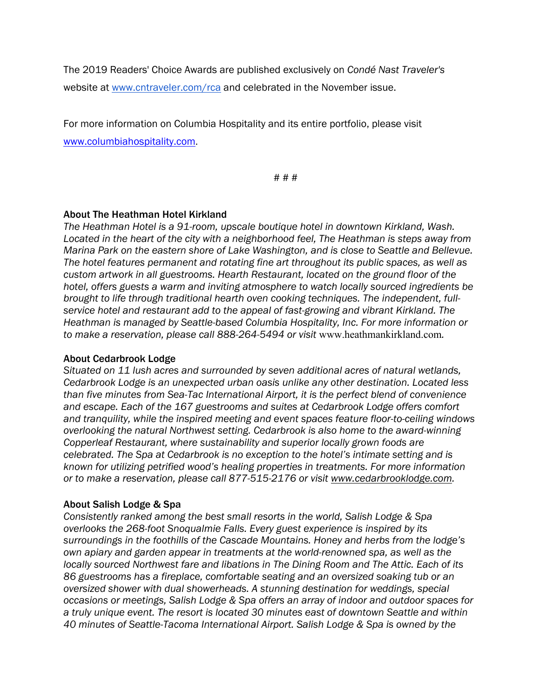The 2019 Readers' Choice Awards are published exclusively on *Condé Nast Traveler's*  website at [www.cntraveler.com/rca](http://www.cntraveler.com/rca) and celebrated in the November issue.

For more information on Columbia Hospitality and its entire portfolio, please visit [www.columbiahospitality.com.](http://www.columbiahospitality.com/)

# # #

## About The Heathman Hotel Kirkland

*The Heathman Hotel is a 91-room, upscale boutique hotel in downtown Kirkland, Wash. Located in the heart of the city with a neighborhood feel, The Heathman is steps away from Marina Park on the eastern shore of Lake Washington, and is close to Seattle and Bellevue. The hotel features permanent and rotating fine art throughout its public spaces, as well as custom artwork in all guestrooms. Hearth Restaurant, located on the ground floor of the hotel, offers guests a warm and inviting atmosphere to watch locally sourced ingredients be brought to life through traditional hearth oven cooking techniques. The independent, fullservice hotel and restaurant add to the appeal of fast-growing and vibrant Kirkland. The Heathman is managed by Seattle-based Columbia Hospitality, Inc. For more information or to make a reservation, please call 888-264-5494 or visit* [www.heathmankirkland.com](http://www.heathmankirkland.com/)*.*

#### About Cedarbrook Lodge

*Situated on 11 lush acres and surrounded by seven additional acres of natural wetlands, Cedarbrook Lodge is an unexpected urban oasis unlike any other destination. Located less than five minutes from Sea-Tac International Airport, it is the perfect blend of convenience and escape. Each of the 167 guestrooms and suites at Cedarbrook Lodge offers comfort and tranquility, while the inspired meeting and event spaces feature floor-to-ceiling windows overlooking the natural Northwest setting. Cedarbrook is also home to the award-winning Copperleaf Restaurant, where sustainability and superior locally grown foods are celebrated. The Spa at Cedarbrook is no exception to the hotel's intimate setting and is known for utilizing petrified wood's healing properties in treatments. For more information or to make a reservation, please call 877-515-2176 or visit [www.cedarbrooklodge.com.](http://www.cedarbrooklodge.com/)* 

#### About Salish Lodge & Spa

*Consistently ranked among the best small resorts in the world, Salish Lodge & Spa overlooks the 268-foot Snoqualmie Falls. Every guest experience is inspired by its surroundings in the foothills of the Cascade Mountains. Honey and herbs from the lodge's own apiary and garden appear in treatments at the world-renowned spa, as well as the locally sourced Northwest fare and libations in The Dining Room and The Attic. Each of its 86 guestrooms has a fireplace, comfortable seating and an oversized soaking tub or an oversized shower with dual showerheads. A stunning destination for weddings, special occasions or meetings, Salish Lodge & Spa offers an array of indoor and outdoor spaces for a truly unique event. The resort is located 30 minutes east of downtown Seattle and within 40 minutes of Seattle-Tacoma International Airport. Salish Lodge & Spa is owned by the*